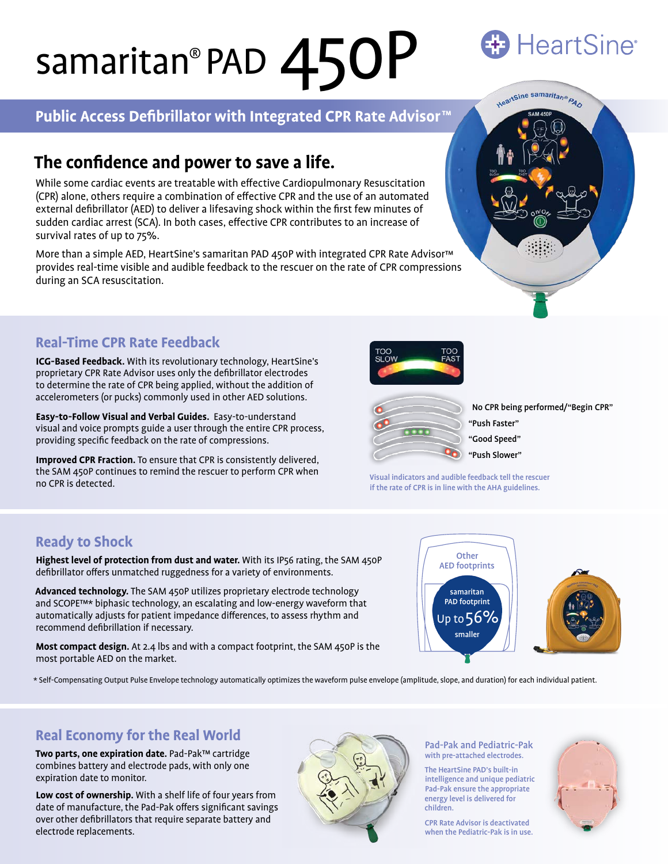# samaritan® PAD 450P

## **Public Access Defibrillator with Integrated CPR Rate Advisor™**

## **The confidence and power to save a life.**

While some cardiac events are treatable with effective Cardiopulmonary Resuscitation (CPR) alone, others require a combination of effective CPR and the use of an automated external defibrillator (AED) to deliver a lifesaving shock within the first few minutes of sudden cardiac arrest (SCA). In both cases, effective CPR contributes to an increase of survival rates of up to 75%.

More than a simple AED, HeartSine's samaritan PAD 450P with integrated CPR Rate Advisor™ provides real-time visible and audible feedback to the rescuer on the rate of CPR compressions during an SCA resuscitation.

## **Real-Time CPR Rate Feedback**

**ICG-Based Feedback.** With its revolutionary technology, HeartSine's proprietary CPR Rate Advisor uses only the defibrillator electrodes to determine the rate of CPR being applied, without the addition of accelerometers (or pucks) commonly used in other AED solutions.

**Easy-to-Follow Visual and Verbal Guides.** Easy-to-understand visual and voice prompts guide a user through the entire CPR process, providing specific feedback on the rate of compressions.

**Improved CPR Fraction.** To ensure that CPR is consistently delivered, the SAM 450P continues to remind the rescuer to perform CPR when no CPR is detected.

## **Ready to Shock**

**Highest level of protection from dust and water.** With its IP56 rating, the SAM 450P defibrillator offers unmatched ruggedness for a variety of environments.

**Advanced technology.** The SAM 450P utilizes proprietary electrode technology and SCOPE™\* biphasic technology, an escalating and low-energy waveform that automatically adjusts for patient impedance differences, to assess rhythm and recommend defibrillation if necessary.

**Most compact design.** At 2.4 lbs and with a compact footprint, the SAM 450P is the most portable AED on the market.



\* Self-Compensating Output Pulse Envelope technology automatically optimizes the waveform pulse envelope (amplitude, slope, and duration) for each individual patient.

## **Real Economy for the Real World**

**Two parts, one expiration date.** Pad-Pak™ cartridge combines battery and electrode pads, with only one expiration date to monitor.

**Low cost of ownership.** With a shelf life of four years from date of manufacture, the Pad-Pak offers significant savings over other defibrillators that require separate battery and electrode replacements.



Pad-Pak and Pediatric-Pak with pre-attached electrodes.

The HeartSine PAD's built-in intelligence and unique pediatric Pad-Pak ensure the appropriate energy level is delivered for children.

CPR Rate Advisor is deactivated when the Pediatric-Pak is in use.



## **HeartSine®**







No CPR being performed/"Begin CPR" "Push Faster" "Good Speed" "Push Slower"

Visual indicators and audible feedback tell the rescuer if the rate of CPR is in line with the AHA guidelines.